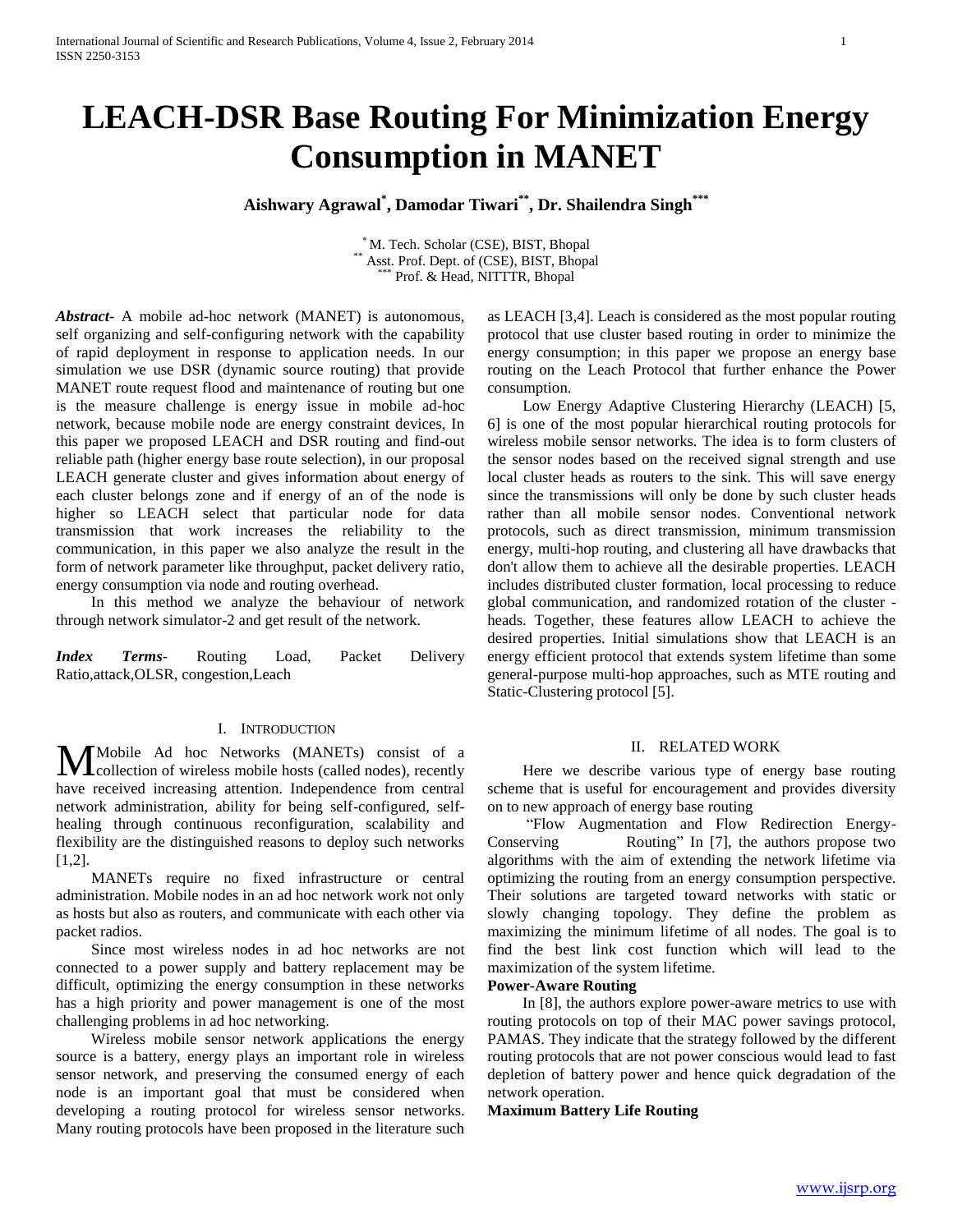# **LEACH-DSR Base Routing For Minimization Energy Consumption in MANET**

## **Aishwary Agrawal\* , Damodar Tiwari\*\* , Dr. Shailendra Singh\*\*\***

\* M. Tech. Scholar (CSE), BIST, Bhopal \*\* Asst. Prof. Dept. of (CSE), BIST, Bhopal<br>\*\*\* Prof. & Hood, NITTEP, Bhopal Prof. & Head, NITTTR, Bhopal

*Abstract***-** A mobile ad-hoc network (MANET) is autonomous, self organizing and self-configuring network with the capability of rapid deployment in response to application needs. In our simulation we use DSR (dynamic source routing) that provide MANET route request flood and maintenance of routing but one is the measure challenge is energy issue in mobile ad-hoc network, because mobile node are energy constraint devices, In this paper we proposed LEACH and DSR routing and find-out reliable path (higher energy base route selection), in our proposal LEACH generate cluster and gives information about energy of each cluster belongs zone and if energy of an of the node is higher so LEACH select that particular node for data transmission that work increases the reliability to the communication, in this paper we also analyze the result in the form of network parameter like throughput, packet delivery ratio, energy consumption via node and routing overhead.

 In this method we analyze the behaviour of network through network simulator-2 and get result of the network.

*Index Terms*- Routing Load, Packet Delivery Ratio,attack,OLSR, congestion,Leach

## I. INTRODUCTION

Mobile Ad hoc Networks (MANETs) consist of a collection of wireless mobile hosts (called nodes), recently collection of wireless mobile hosts (called nodes), recently have received increasing attention. Independence from central network administration, ability for being self-configured, selfhealing through continuous reconfiguration, scalability and flexibility are the distinguished reasons to deploy such networks [1,2].

 MANETs require no fixed infrastructure or central administration. Mobile nodes in an ad hoc network work not only as hosts but also as routers, and communicate with each other via packet radios.

 Since most wireless nodes in ad hoc networks are not connected to a power supply and battery replacement may be difficult, optimizing the energy consumption in these networks has a high priority and power management is one of the most challenging problems in ad hoc networking.

 Wireless mobile sensor network applications the energy source is a battery, energy plays an important role in wireless sensor network, and preserving the consumed energy of each node is an important goal that must be considered when developing a routing protocol for wireless sensor networks. Many routing protocols have been proposed in the literature such as LEACH [3,4]. Leach is considered as the most popular routing protocol that use cluster based routing in order to minimize the energy consumption; in this paper we propose an energy base routing on the Leach Protocol that further enhance the Power consumption.

 Low Energy Adaptive Clustering Hierarchy (LEACH) [5, 6] is one of the most popular hierarchical routing protocols for wireless mobile sensor networks. The idea is to form clusters of the sensor nodes based on the received signal strength and use local cluster heads as routers to the sink. This will save energy since the transmissions will only be done by such cluster heads rather than all mobile sensor nodes. Conventional network protocols, such as direct transmission, minimum transmission energy, multi-hop routing, and clustering all have drawbacks that don't allow them to achieve all the desirable properties. LEACH includes distributed cluster formation, local processing to reduce global communication, and randomized rotation of the cluster heads. Together, these features allow LEACH to achieve the desired properties. Initial simulations show that LEACH is an energy efficient protocol that extends system lifetime than some general-purpose multi-hop approaches, such as MTE routing and Static-Clustering protocol [5].

#### II. RELATED WORK

 Here we describe various type of energy base routing scheme that is useful for encouragement and provides diversity on to new approach of energy base routing

 "Flow Augmentation and Flow Redirection Energy-Conserving Routing" In [7], the authors propose two algorithms with the aim of extending the network lifetime via optimizing the routing from an energy consumption perspective. Their solutions are targeted toward networks with static or slowly changing topology. They define the problem as maximizing the minimum lifetime of all nodes. The goal is to find the best link cost function which will lead to the maximization of the system lifetime.

## **Power-Aware Routing**

 In [8], the authors explore power-aware metrics to use with routing protocols on top of their MAC power savings protocol, PAMAS. They indicate that the strategy followed by the different routing protocols that are not power conscious would lead to fast depletion of battery power and hence quick degradation of the network operation.

#### **Maximum Battery Life Routing**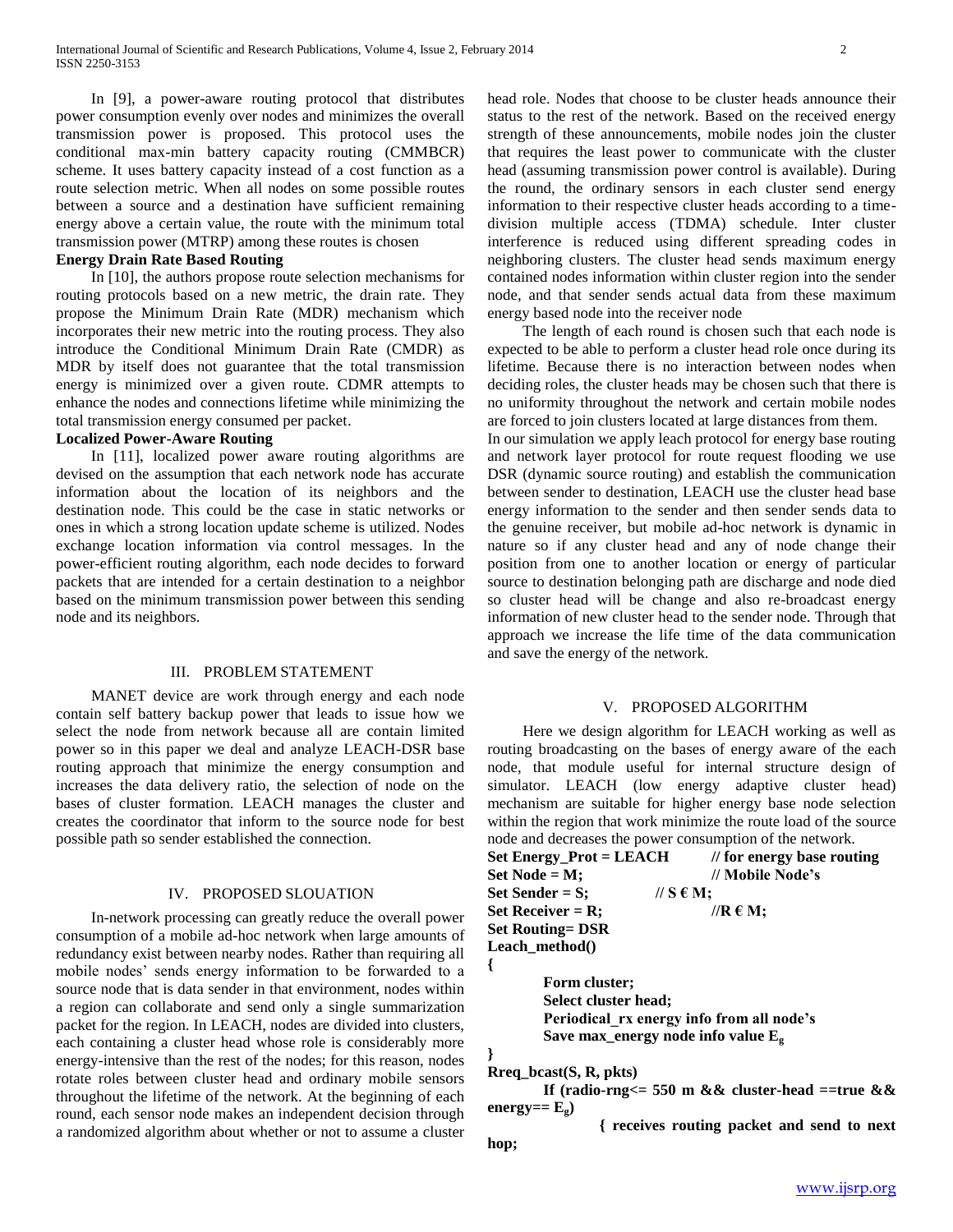In [9], a power-aware routing protocol that distributes power consumption evenly over nodes and minimizes the overall transmission power is proposed. This protocol uses the conditional max-min battery capacity routing (CMMBCR) scheme. It uses battery capacity instead of a cost function as a route selection metric. When all nodes on some possible routes between a source and a destination have sufficient remaining energy above a certain value, the route with the minimum total transmission power (MTRP) among these routes is chosen

## **Energy Drain Rate Based Routing**

 In [10], the authors propose route selection mechanisms for routing protocols based on a new metric, the drain rate. They propose the Minimum Drain Rate (MDR) mechanism which incorporates their new metric into the routing process. They also introduce the Conditional Minimum Drain Rate (CMDR) as MDR by itself does not guarantee that the total transmission energy is minimized over a given route. CDMR attempts to enhance the nodes and connections lifetime while minimizing the total transmission energy consumed per packet.

#### **Localized Power-Aware Routing**

 In [11], localized power aware routing algorithms are devised on the assumption that each network node has accurate information about the location of its neighbors and the destination node. This could be the case in static networks or ones in which a strong location update scheme is utilized. Nodes exchange location information via control messages. In the power-efficient routing algorithm, each node decides to forward packets that are intended for a certain destination to a neighbor based on the minimum transmission power between this sending node and its neighbors.

#### III. PROBLEM STATEMENT

 MANET device are work through energy and each node contain self battery backup power that leads to issue how we select the node from network because all are contain limited power so in this paper we deal and analyze LEACH-DSR base routing approach that minimize the energy consumption and increases the data delivery ratio, the selection of node on the bases of cluster formation. LEACH manages the cluster and creates the coordinator that inform to the source node for best possible path so sender established the connection.

## IV. PROPOSED SLOUATION

 In-network processing can greatly reduce the overall power consumption of a mobile ad-hoc network when large amounts of redundancy exist between nearby nodes. Rather than requiring all mobile nodes' sends energy information to be forwarded to a source node that is data sender in that environment, nodes within a region can collaborate and send only a single summarization packet for the region. In LEACH, nodes are divided into clusters, each containing a cluster head whose role is considerably more energy-intensive than the rest of the nodes; for this reason, nodes rotate roles between cluster head and ordinary mobile sensors throughout the lifetime of the network. At the beginning of each round, each sensor node makes an independent decision through a randomized algorithm about whether or not to assume a cluster

head role. Nodes that choose to be cluster heads announce their status to the rest of the network. Based on the received energy strength of these announcements, mobile nodes join the cluster that requires the least power to communicate with the cluster head (assuming transmission power control is available). During the round, the ordinary sensors in each cluster send energy information to their respective cluster heads according to a timedivision multiple access (TDMA) schedule. Inter cluster interference is reduced using different spreading codes in neighboring clusters. The cluster head sends maximum energy contained nodes information within cluster region into the sender node, and that sender sends actual data from these maximum energy based node into the receiver node

 The length of each round is chosen such that each node is expected to be able to perform a cluster head role once during its lifetime. Because there is no interaction between nodes when deciding roles, the cluster heads may be chosen such that there is no uniformity throughout the network and certain mobile nodes are forced to join clusters located at large distances from them.

In our simulation we apply leach protocol for energy base routing and network layer protocol for route request flooding we use DSR (dynamic source routing) and establish the communication between sender to destination, LEACH use the cluster head base energy information to the sender and then sender sends data to the genuine receiver, but mobile ad-hoc network is dynamic in nature so if any cluster head and any of node change their position from one to another location or energy of particular source to destination belonging path are discharge and node died so cluster head will be change and also re-broadcast energy information of new cluster head to the sender node. Through that approach we increase the life time of the data communication and save the energy of the network.

#### V. PROPOSED ALGORITHM

 Here we design algorithm for LEACH working as well as routing broadcasting on the bases of energy aware of the each node, that module useful for internal structure design of simulator. LEACH (low energy adaptive cluster head) mechanism are suitable for higher energy base node selection within the region that work minimize the route load of the source node and decreases the power consumption of the network.

| $Set$ Energy_Prot = LEACH | $\frac{1}{2}$ for energy base routing |
|---------------------------|---------------------------------------|
| $Set Node = M;$           | // Mobile Node's                      |
| Set Sender $= S$ :        | $\pi$ S $\epsilon$ M;                 |
| Set Receiver $=$ R;       | //R $\epsilon$ M;                     |
| <b>Set Routing = DSR</b>  |                                       |
| Leach method $()$         |                                       |
|                           |                                       |
| Form cluster:             |                                       |

**Form cluster; Select cluster head; Periodical\_rx energy info from all node's Save max\_energy node info value E<sup>g</sup>**

**Rreq\_bcast(S, R, pkts)**

**If** (radio-rng $\le$  = 550 m && cluster-head ==true && energy==  $E_{\sigma}$ )

**{ receives routing packet and send to next** 

**hop;**

**}**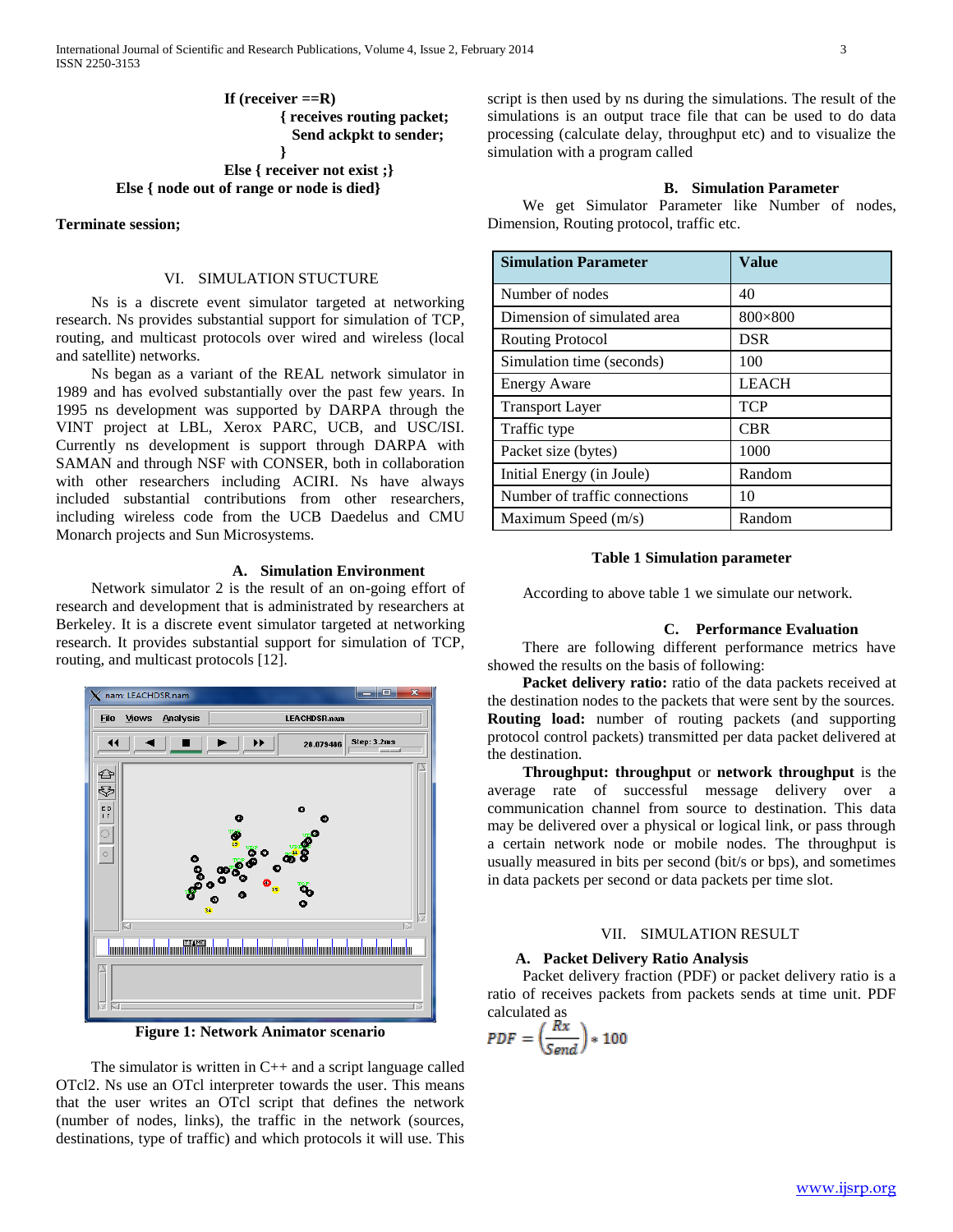**If (receiver ==R) { receives routing packet; Send ackpkt to sender;**

**} Else { receiver not exist ;} Else { node out of range or node is died}**

**Terminate session;**

#### VI. SIMULATION STUCTURE

 Ns is a discrete event simulator targeted at networking research. Ns provides substantial support for simulation of TCP, routing, and multicast protocols over wired and wireless (local and satellite) networks.

 Ns began as a variant of the REAL network simulator in 1989 and has evolved substantially over the past few years. In 1995 ns development was supported by DARPA through the VINT project at LBL, Xerox PARC, UCB, and USC/ISI. Currently ns development is support through DARPA with SAMAN and through NSF with CONSER, both in collaboration with other researchers including ACIRI. Ns have always included substantial contributions from other researchers, including wireless code from the UCB Daedelus and CMU Monarch projects and Sun Microsystems.

#### **A. Simulation Environment**

 Network simulator 2 is the result of an on-going effort of research and development that is administrated by researchers at Berkeley. It is a discrete event simulator targeted at networking research. It provides substantial support for simulation of TCP, routing, and multicast protocols [12].



**Figure 1: Network Animator scenario**

The simulator is written in  $C_{++}$  and a script language called OTcl2. Ns use an OTcl interpreter towards the user. This means that the user writes an OTcl script that defines the network (number of nodes, links), the traffic in the network (sources, destinations, type of traffic) and which protocols it will use. This script is then used by ns during the simulations. The result of the simulations is an output trace file that can be used to do data processing (calculate delay, throughput etc) and to visualize the simulation with a program called

## **B. Simulation Parameter**

 We get Simulator Parameter like Number of nodes, Dimension, Routing protocol, traffic etc.

| <b>Simulation Parameter</b>   | Value        |
|-------------------------------|--------------|
| Number of nodes               | 40           |
| Dimension of simulated area   | 800×800      |
| <b>Routing Protocol</b>       | <b>DSR</b>   |
| Simulation time (seconds)     | 100          |
| <b>Energy Aware</b>           | <b>LEACH</b> |
| <b>Transport Layer</b>        | <b>TCP</b>   |
| Traffic type                  | <b>CBR</b>   |
| Packet size (bytes)           | 1000         |
| Initial Energy (in Joule)     | Random       |
| Number of traffic connections | 10           |
| Maximum Speed $(m/s)$         | Random       |

#### **Table 1 Simulation parameter**

According to above table 1 we simulate our network.

#### **C. Performance Evaluation**

 There are following different performance metrics have showed the results on the basis of following:

 **Packet delivery ratio:** ratio of the data packets received at the destination nodes to the packets that were sent by the sources. **Routing load:** number of routing packets (and supporting protocol control packets) transmitted per data packet delivered at the destination.

 **Throughput: throughput** or **network throughput** is the average rate of successful message delivery over a communication channel from source to destination. This data may be delivered over a physical or logical link, or pass through a certain network node or mobile nodes. The throughput is usually measured in bits per second (bit/s or bps), and sometimes in data packets per second or data packets per time slot.

## VII. SIMULATION RESULT

## **A. Packet Delivery Ratio Analysis**

 Packet delivery fraction (PDF) or packet delivery ratio is a ratio of receives packets from packets sends at time unit. PDF calculated as

$$
PDF = \left(\frac{Rx}{Send}\right) * 100
$$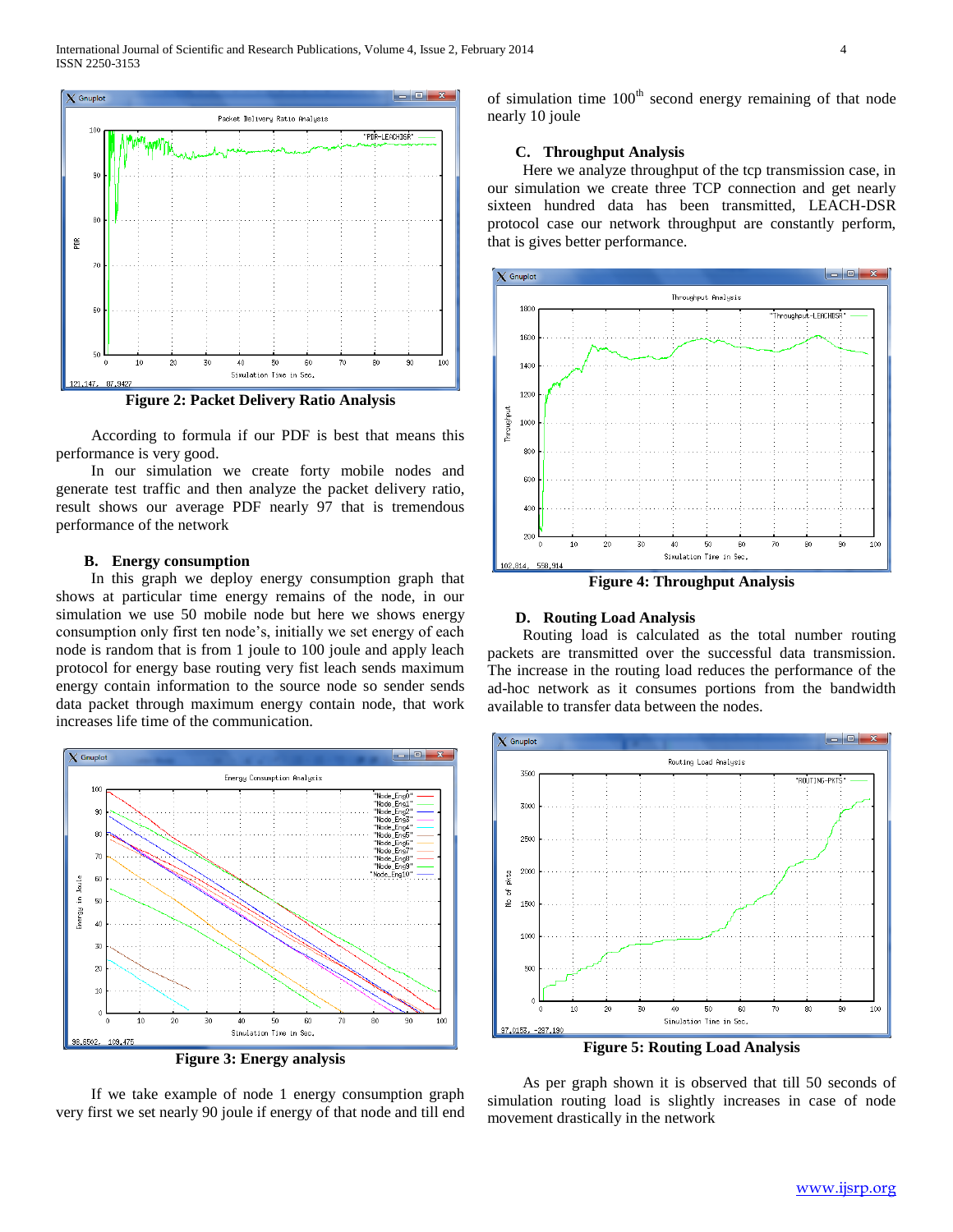

 According to formula if our PDF is best that means this performance is very good.

 In our simulation we create forty mobile nodes and generate test traffic and then analyze the packet delivery ratio, result shows our average PDF nearly 97 that is tremendous performance of the network

#### **B. Energy consumption**

 In this graph we deploy energy consumption graph that shows at particular time energy remains of the node, in our simulation we use 50 mobile node but here we shows energy consumption only first ten node's, initially we set energy of each node is random that is from 1 joule to 100 joule and apply leach protocol for energy base routing very fist leach sends maximum energy contain information to the source node so sender sends data packet through maximum energy contain node, that work increases life time of the communication.



**Figure 3: Energy analysis**

 If we take example of node 1 energy consumption graph very first we set nearly 90 joule if energy of that node and till end of simulation time  $100<sup>th</sup>$  second energy remaining of that node nearly 10 joule

## **C. Throughput Analysis**

 Here we analyze throughput of the tcp transmission case, in our simulation we create three TCP connection and get nearly sixteen hundred data has been transmitted, LEACH-DSR protocol case our network throughput are constantly perform, that is gives better performance.



**Figure 4: Throughput Analysis**

## **D. Routing Load Analysis**

 Routing load is calculated as the total number routing packets are transmitted over the successful data transmission. The increase in the routing load reduces the performance of the ad-hoc network as it consumes portions from the bandwidth available to transfer data between the nodes.



 As per graph shown it is observed that till 50 seconds of simulation routing load is slightly increases in case of node movement drastically in the network